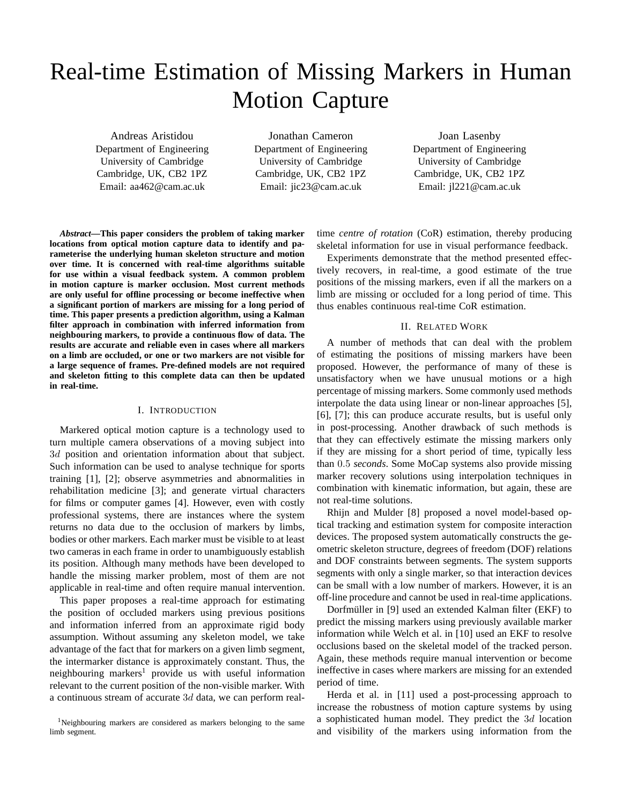# Real-time Estimation of Missing Markers in Human Motion Capture

Andreas Aristidou Department of Engineering University of Cambridge Cambridge, UK, CB2 1PZ Email: aa462@cam.ac.uk

Jonathan Cameron Department of Engineering University of Cambridge Cambridge, UK, CB2 1PZ Email: jic23@cam.ac.uk

Joan Lasenby Department of Engineering University of Cambridge Cambridge, UK, CB2 1PZ Email: jl221@cam.ac.uk

*Abstract***—This paper considers the problem of taking marker locations from optical motion capture data to identify and parameterise the underlying human skeleton structure and motion over time. It is concerned with real-time algorithms suitable for use within a visual feedback system. A common problem in motion capture is marker occlusion. Most current methods are only useful for offline processing or become ineffective when a significant portion of markers are missing for a long period of time. This paper presents a prediction algorithm, using a Kalman filter approach in combination with inferred information from neighbouring markers, to provide a continuous flow of data. The results are accurate and reliable even in cases where all markers on a limb are occluded, or one or two markers are not visible for a large sequence of frames. Pre-defined models are not required and skeleton fitting to this complete data can then be updated in real-time.**

## I. INTRODUCTION

Markered optical motion capture is a technology used to turn multiple camera observations of a moving subject into 3d position and orientation information about that subject. Such information can be used to analyse technique for sports training [1], [2]; observe asymmetries and abnormalities in rehabilitation medicine [3]; and generate virtual characters for films or computer games [4]. However, even with costly professional systems, there are instances where the system returns no data due to the occlusion of markers by limbs, bodies or other markers. Each marker must be visible to at least two cameras in each frame in order to unambiguously establish its position. Although many methods have been developed to handle the missing marker problem, most of them are not applicable in real-time and often require manual intervention.

This paper proposes a real-time approach for estimating the position of occluded markers using previous positions and information inferred from an approximate rigid body assumption. Without assuming any skeleton model, we take advantage of the fact that for markers on a given limb segment, the intermarker distance is approximately constant. Thus, the neighbouring markers<sup>1</sup> provide us with useful information relevant to the current position of the non-visible marker. With a continuous stream of accurate 3d data, we can perform realtime *centre of rotation* (CoR) estimation, thereby producing skeletal information for use in visual performance feedback.

Experiments demonstrate that the method presented effectively recovers, in real-time, a good estimate of the true positions of the missing markers, even if all the markers on a limb are missing or occluded for a long period of time. This thus enables continuous real-time CoR estimation.

### II. RELATED WORK

A number of methods that can deal with the problem of estimating the positions of missing markers have been proposed. However, the performance of many of these is unsatisfactory when we have unusual motions or a high percentage of missing markers. Some commonly used methods interpolate the data using linear or non-linear approaches [5], [6], [7]; this can produce accurate results, but is useful only in post-processing. Another drawback of such methods is that they can effectively estimate the missing markers only if they are missing for a short period of time, typically less than 0.5 *seconds*. Some MoCap systems also provide missing marker recovery solutions using interpolation techniques in combination with kinematic information, but again, these are not real-time solutions.

Rhijn and Mulder [8] proposed a novel model-based optical tracking and estimation system for composite interaction devices. The proposed system automatically constructs the geometric skeleton structure, degrees of freedom (DOF) relations and DOF constraints between segments. The system supports segments with only a single marker, so that interaction devices can be small with a low number of markers. However, it is an off-line procedure and cannot be used in real-time applications.

Dorfmüller in [9] used an extended Kalman filter (EKF) to predict the missing markers using previously available marker information while Welch et al. in [10] used an EKF to resolve occlusions based on the skeletal model of the tracked person. Again, these methods require manual intervention or become ineffective in cases where markers are missing for an extended period of time.

Herda et al. in [11] used a post-processing approach to increase the robustness of motion capture systems by using a sophisticated human model. They predict the 3d location and visibility of the markers using information from the

<sup>1</sup>Neighbouring markers are considered as markers belonging to the same limb segment.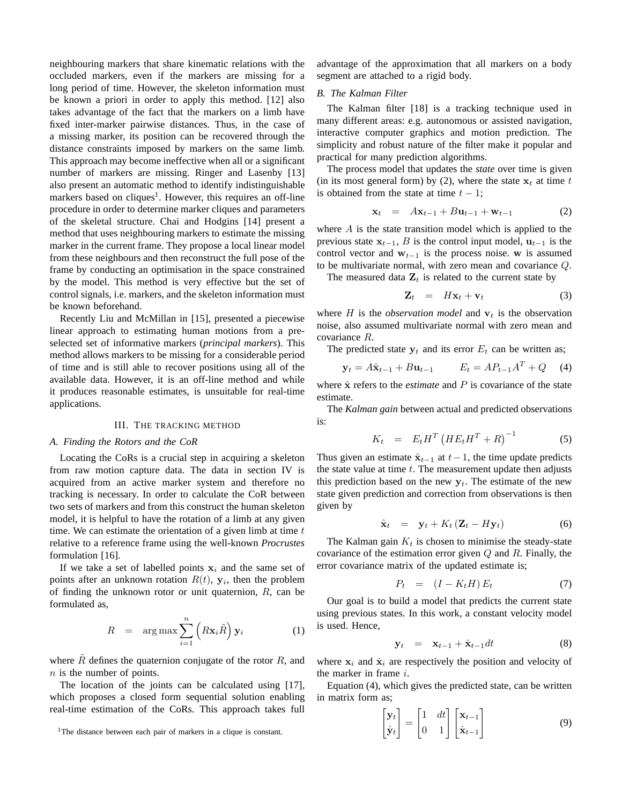neighbouring markers that share kinematic relations with the occluded markers, even if the markers are missing for a long period of time. However, the skeleton information must be known a priori in order to apply this method. [12] also takes advantage of the fact that the markers on a limb have fixed inter-marker pairwise distances. Thus, in the case of a missing marker, its position can be recovered through the distance constraints imposed by markers on the same limb. This approach may become ineffective when all or a significant number of markers are missing. Ringer and Lasenby [13] also present an automatic method to identify indistinguishable markers based on cliques<sup>1</sup>. However, this requires an off-line procedure in order to determine marker cliques and parameters of the skeletal structure. Chai and Hodgins [14] present a method that uses neighbouring markers to estimate the missing marker in the current frame. They propose a local linear model from these neighbours and then reconstruct the full pose of the frame by conducting an optimisation in the space constrained by the model. This method is very effective but the set of control signals, i.e. markers, and the skeleton information must be known beforehand.

Recently Liu and McMillan in [15], presented a piecewise linear approach to estimating human motions from a preselected set of informative markers (*principal markers*). This method allows markers to be missing for a considerable period of time and is still able to recover positions using all of the available data. However, it is an off-line method and while it produces reasonable estimates, is unsuitable for real-time applications.

### III. THE TRACKING METHOD

## *A. Finding the Rotors and the CoR*

Locating the CoRs is a crucial step in acquiring a skeleton from raw motion capture data. The data in section IV is acquired from an active marker system and therefore no tracking is necessary. In order to calculate the CoR between two sets of markers and from this construct the human skeleton model, it is helpful to have the rotation of a limb at any given time. We can estimate the orientation of a given limb at time  $t$ relative to a reference frame using the well-known *Procrustes* formulation [16].

If we take a set of labelled points  $x_i$  and the same set of points after an unknown rotation  $R(t)$ ,  $y_i$ , then the problem of finding the unknown rotor or unit quaternion,  $R$ , can be formulated as,

$$
R = \arg \max \sum_{i=1}^{n} \left( R \mathbf{x}_i \tilde{R} \right) \mathbf{y}_i \tag{1}
$$

where  $R$  defines the quaternion conjugate of the rotor  $R$ , and  $n$  is the number of points.

The location of the joints can be calculated using [17], which proposes a closed form sequential solution enabling real-time estimation of the CoRs. This approach takes full advantage of the approximation that all markers on a body segment are attached to a rigid body.

# *B. The Kalman Filter*

The Kalman filter [18] is a tracking technique used in many different areas: e.g. autonomous or assisted navigation, interactive computer graphics and motion prediction. The simplicity and robust nature of the filter make it popular and practical for many prediction algorithms.

The process model that updates the *state* over time is given (in its most general form) by (2), where the state  $x_t$  at time t is obtained from the state at time  $t - 1$ ;

$$
\mathbf{x}_t = A\mathbf{x}_{t-1} + B\mathbf{u}_{t-1} + \mathbf{w}_{t-1} \tag{2}
$$

where  $A$  is the state transition model which is applied to the previous state  $x_{t-1}$ , B is the control input model,  $u_{t-1}$  is the control vector and  $w_{t-1}$  is the process noise. w is assumed to be multivariate normal, with zero mean and covariance Q.

The measured data  $\mathbf{Z}_t$  is related to the current state by

$$
\mathbf{Z}_t = H\mathbf{x}_t + \mathbf{v}_t \tag{3}
$$

where  $H$  is the *observation model* and  $v_t$  is the observation noise, also assumed multivariate normal with zero mean and covariance R.

The predicted state  $y_t$  and its error  $E_t$  can be written as;

$$
\mathbf{y}_t = A\hat{\mathbf{x}}_{t-1} + B\mathbf{u}_{t-1} \qquad E_t = AP_{t-1}A^T + Q \quad (4)
$$

where  $\hat{x}$  refers to the *estimate* and  $P$  is covariance of the state estimate.

The *Kalman gain* between actual and predicted observations is:

$$
K_t = E_t H^T \left( H E_t H^T + R \right)^{-1} \tag{5}
$$

Thus given an estimate  $\hat{\mathbf{x}}_{t-1}$  at  $t-1$ , the time update predicts the state value at time  $t$ . The measurement update then adjusts this prediction based on the new  $y_t$ . The estimate of the new state given prediction and correction from observations is then given by

$$
\hat{\mathbf{x}}_t = \mathbf{y}_t + K_t (\mathbf{Z}_t - H\mathbf{y}_t) \tag{6}
$$

The Kalman gain  $K_t$  is chosen to minimise the steady-state covariance of the estimation error given  $Q$  and  $R$ . Finally, the error covariance matrix of the updated estimate is;

$$
P_t = (I - K_t H) E_t \tag{7}
$$

Our goal is to build a model that predicts the current state using previous states. In this work, a constant velocity model is used. Hence,

$$
\mathbf{y}_t = \mathbf{x}_{t-1} + \dot{\mathbf{x}}_{t-1} dt \tag{8}
$$

where  $x_i$  and  $\dot{x}_i$  are respectively the position and velocity of the marker in frame i.

Equation (4), which gives the predicted state, can be written in matrix form as;

$$
\begin{bmatrix} \mathbf{y}_t \\ \dot{\mathbf{y}}_t \end{bmatrix} = \begin{bmatrix} 1 & dt \\ 0 & 1 \end{bmatrix} \begin{bmatrix} \mathbf{x}_{t-1} \\ \dot{\mathbf{x}}_{t-1} \end{bmatrix}
$$
 (9)

<sup>&</sup>lt;sup>1</sup>The distance between each pair of markers in a clique is constant.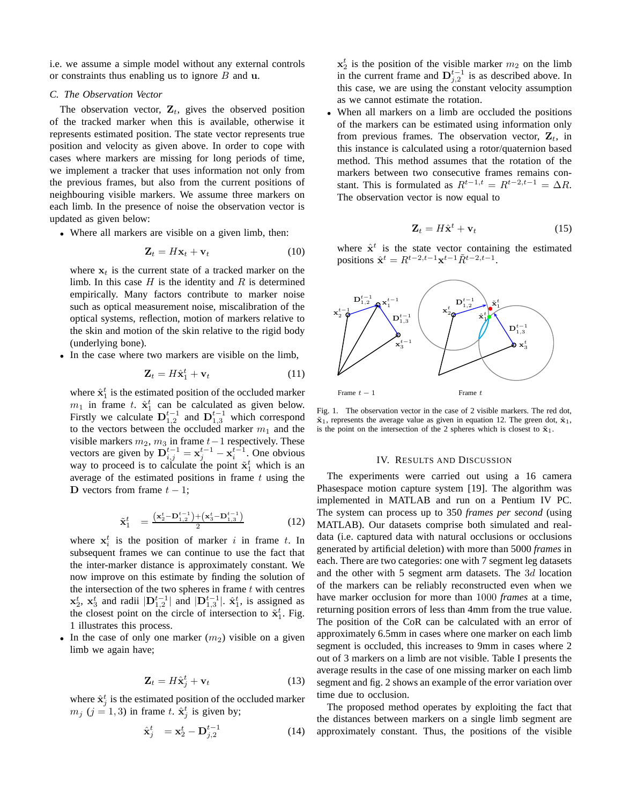i.e. we assume a simple model without any external controls or constraints thus enabling us to ignore  $B$  and  $u$ .

# *C. The Observation Vector*

The observation vector,  $\mathbf{Z}_t$ , gives the observed position of the tracked marker when this is available, otherwise it represents estimated position. The state vector represents true position and velocity as given above. In order to cope with cases where markers are missing for long periods of time, we implement a tracker that uses information not only from the previous frames, but also from the current positions of neighbouring visible markers. We assume three markers on each limb. In the presence of noise the observation vector is updated as given below:

• Where all markers are visible on a given limb, then:

$$
\mathbf{Z}_t = H\mathbf{x}_t + \mathbf{v}_t \tag{10}
$$

where  $x_t$  is the current state of a tracked marker on the limb. In this case  $H$  is the identity and  $R$  is determined empirically. Many factors contribute to marker noise such as optical measurement noise, miscalibration of the optical systems, reflection, motion of markers relative to the skin and motion of the skin relative to the rigid body (underlying bone).

• In the case where two markers are visible on the limb,

$$
\mathbf{Z}_t = H\hat{\mathbf{x}}_1^t + \mathbf{v}_t \tag{11}
$$

where  $\hat{\mathbf{x}}_1^t$  is the estimated position of the occluded marker  $m_1$  in frame t.  $\hat{\mathbf{x}}_1^t$  can be calculated as given below. Firstly we calculate  $\mathbf{D}_{1,2}^{t-1}$  and  $\mathbf{D}_{1,3}^{t-1}$  which correspond to the vectors between the occluded marker  $m_1$  and the visible markers  $m_2$ ,  $m_3$  in frame  $t-1$  respectively. These vectors are given by  $\mathbf{D}_{i,j}^{t-1} = \mathbf{x}_j^{t-1} - \mathbf{x}_i^{t-1}$ . One obvious way to proceed is to calculate the point  $\tilde{\mathbf{x}}_1^t$  which is an average of the estimated positions in frame  $t$  using the D vectors from frame  $t - 1$ ;

$$
\tilde{\mathbf{x}}_1^t = \frac{(\mathbf{x}_2^t - \mathbf{D}_{1,2}^{t-1}) + (\mathbf{x}_3^t - \mathbf{D}_{1,3}^{t-1})}{2}
$$
(12)

where  $x_i^t$  is the position of marker i in frame t. In subsequent frames we can continue to use the fact that the inter-marker distance is approximately constant. We now improve on this estimate by finding the solution of the intersection of the two spheres in frame  $t$  with centres  $\mathbf{x}_2^t$ ,  $\mathbf{x}_3^t$  and radii  $|\mathbf{D}_{1,2}^{t-1}|$  and  $|\mathbf{D}_{1,3}^{t-1}|$ .  $\hat{\mathbf{x}}_1^t$ , is assigned as the closest point on the circle of intersection to  $\tilde{\mathbf{x}}_1^t$ . Fig. 1 illustrates this process.

• In the case of only one marker  $(m<sub>2</sub>)$  visible on a given limb we again have;

$$
\mathbf{Z}_t = H\hat{\mathbf{x}}_j^t + \mathbf{v}_t \tag{13}
$$

where  $\hat{\mathbf{x}}_j^t$  is the estimated position of the occluded marker  $m_j$  ( $j = 1, 3$ ) in frame t.  $\hat{\mathbf{x}}_j^t$  is given by;

$$
\hat{\mathbf{x}}_j^t = \mathbf{x}_2^t - \mathbf{D}_{j,2}^{t-1} \tag{14}
$$

 $x_2^t$  is the position of the visible marker  $m_2$  on the limb in the current frame and  $\mathbf{D}_{j,2}^{t-1}$  is as described above. In this case, we are using the constant velocity assumption as we cannot estimate the rotation.

When all markers on a limb are occluded the positions of the markers can be estimated using information only from previous frames. The observation vector,  $\mathbf{Z}_t$ , in this instance is calculated using a rotor/quaternion based method. This method assumes that the rotation of the markers between two consecutive frames remains constant. This is formulated as  $R^{t-1,t} = R^{t-2,t-1} = \Delta R$ . The observation vector is now equal to

$$
\mathbf{Z}_t = H\hat{\mathbf{x}}^t + \mathbf{v}_t \tag{15}
$$

where  $\hat{x}^t$  is the state vector containing the estimated positions  $\hat{\mathbf{x}}^{t} = R^{t-2,t-1} \mathbf{x}^{t-1} \tilde{R}^{t-2,t-1}$ .



Fig. 1. The observation vector in the case of 2 visible markers. The red dot,  $\tilde{\mathbf{x}}_1$ , represents the average value as given in equation 12. The green dot,  $\hat{\mathbf{x}}_1$ , is the point on the intersection of the 2 spheres which is closest to  $\tilde{\mathbf{x}}_1$ .

#### IV. RESULTS AND DISCUSSION

The experiments were carried out using a 16 camera Phasespace motion capture system [19]. The algorithm was implemented in MATLAB and run on a Pentium IV PC. The system can process up to 350 *frames per second* (using MATLAB). Our datasets comprise both simulated and realdata (i.e. captured data with natural occlusions or occlusions generated by artificial deletion) with more than 5000 *frames* in each. There are two categories: one with 7 segment leg datasets and the other with 5 segment arm datasets. The 3d location of the markers can be reliably reconstructed even when we have marker occlusion for more than 1000 *frames* at a time, returning position errors of less than 4mm from the true value. The position of the CoR can be calculated with an error of approximately 6.5mm in cases where one marker on each limb segment is occluded, this increases to 9mm in cases where 2 out of 3 markers on a limb are not visible. Table I presents the average results in the case of one missing marker on each limb segment and fig. 2 shows an example of the error variation over time due to occlusion.

The proposed method operates by exploiting the fact that the distances between markers on a single limb segment are approximately constant. Thus, the positions of the visible